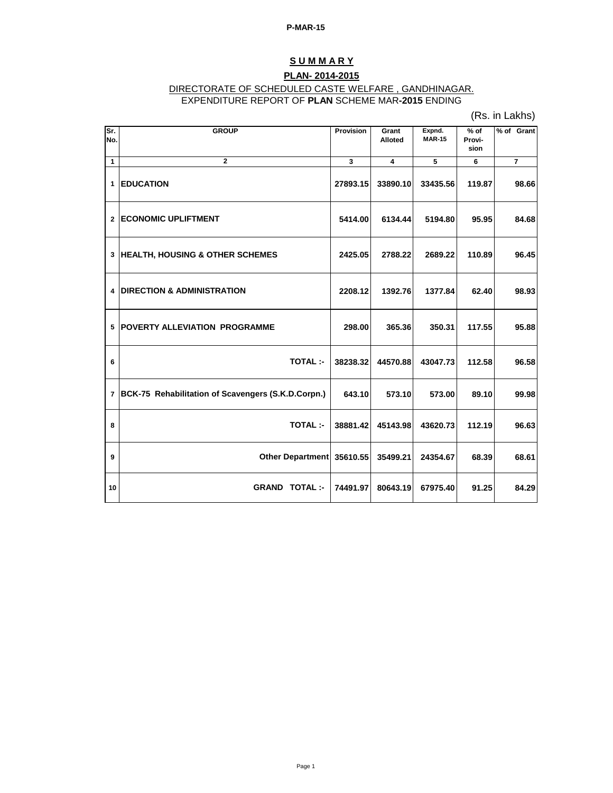# **S U M M A R Y**

### **PLAN- 2014-2015**

## DIRECTORATE OF SCHEDULED CASTE WELFARE , GANDHINAGAR.

EXPENDITURE REPORT OF **PLAN** SCHEME MAR**-2015** ENDING

(Rs. in Lakhs)

| Sr.<br>No.              | <b>GROUP</b>                                       | <b>Provision</b> | Grant<br><b>Alloted</b> | Expnd.<br><b>MAR-15</b> | $%$ of<br>Provi-<br>sion | % of Grant     |
|-------------------------|----------------------------------------------------|------------------|-------------------------|-------------------------|--------------------------|----------------|
| $\mathbf{1}$            | $\overline{2}$                                     | $\mathbf{3}$     | $\overline{\mathbf{4}}$ | $\overline{5}$          | 6                        | $\overline{7}$ |
| $\mathbf{1}$            | <b>EDUCATION</b>                                   | 27893.15         | 33890.10                | 33435.56                | 119.87                   | 98.66          |
| $\mathbf{2}$            | <b>ECONOMIC UPLIFTMENT</b>                         | 5414.00          | 6134.44                 | 5194.80                 | 95.95                    | 84.68          |
| 3                       | <b>HEALTH, HOUSING &amp; OTHER SCHEMES</b>         | 2425.05          | 2788.22                 | 2689.22                 | 110.89                   | 96.45          |
| 4                       | <b>DIRECTION &amp; ADMINISTRATION</b>              | 2208.12          | 1392.76                 | 1377.84                 | 62.40                    | 98.93          |
| 5                       | <b>POVERTY ALLEVIATION PROGRAMME</b>               | 298.00           | 365.36                  | 350.31                  | 117.55                   | 95.88          |
| 6                       | <b>TOTAL:-</b>                                     | 38238.32         | 44570.88                | 43047.73                | 112.58                   | 96.58          |
| $\overline{\mathbf{r}}$ | BCK-75 Rehabilitation of Scavengers (S.K.D.Corpn.) | 643.10           | 573.10                  | 573.00                  | 89.10                    | 99.98          |
| 8                       | <b>TOTAL:-</b>                                     | 38881.42         | 45143.98                | 43620.73                | 112.19                   | 96.63          |
| 9                       | <b>Other Department</b>                            | 35610.55         | 35499.21                | 24354.67                | 68.39                    | 68.61          |
| 10                      | <b>GRAND TOTAL:-</b>                               | 74491.97         | 80643.19                | 67975.40                | 91.25                    | 84.29          |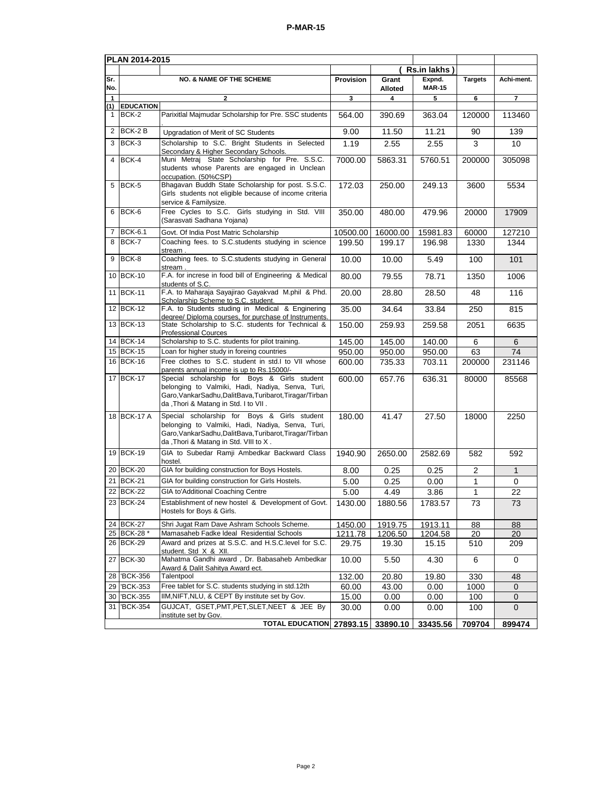| PLAN 2014-2015      |                            |                                                                                                                                                                                                       |                |                  |                         |                |                 |  |
|---------------------|----------------------------|-------------------------------------------------------------------------------------------------------------------------------------------------------------------------------------------------------|----------------|------------------|-------------------------|----------------|-----------------|--|
|                     |                            |                                                                                                                                                                                                       |                |                  | Rs.in lakhs)            |                |                 |  |
| Sr.<br>No.          |                            | <b>NO. &amp; NAME OF THE SCHEME</b>                                                                                                                                                                   | Provision      | Grant<br>Alloted | Expnd.<br><b>MAR-15</b> | <b>Targets</b> | Achi-ment.      |  |
| $\overline{1}$      |                            | $\mathbf{2}$                                                                                                                                                                                          | 3              | 4                | 5                       | 6              | $\overline{7}$  |  |
| (1)<br>$\mathbf{1}$ | <b>EDUCATION</b><br>BCK-2  | Parixitlal Majmudar Scholarship for Pre. SSC students                                                                                                                                                 | 564.00         | 390.69           | 363.04                  | 120000         | 113460          |  |
| 2                   | BCK-2B                     | Upgradation of Merit of SC Students                                                                                                                                                                   | 9.00           | 11.50            | 11.21                   | 90             | 139             |  |
| 3                   | BCK-3                      | Scholarship to S.C. Bright Students in Selected<br>Secondary & Higher Secondary Schools.                                                                                                              | 1.19           | 2.55             | 2.55                    | 3              | 10              |  |
| 4                   | BCK-4                      | Muni Metraj State Scholarship for Pre. S.S.C.<br>students whose Parents are engaged in Unclean<br>occupation. (50%CSP)                                                                                | 7000.00        | 5863.31          | 5760.51                 | 200000         | 305098          |  |
| 5                   | BCK-5                      | Bhagavan Buddh State Scholarship for post. S.S.C.<br>Girls students not eligible because of income criteria<br>service & Familysize.                                                                  | 172.03         | 250.00           | 249.13                  | 3600           | 5534            |  |
| 6                   | BCK-6                      | Free Cycles to S.C. Girls studying in Std. VIII<br>(Sarasvati Sadhana Yojana)                                                                                                                         | 350.00         | 480.00           | 479.96                  | 20000          | 17909           |  |
| 7                   | <b>BCK-6.1</b>             | Govt. Of India Post Matric Scholarship                                                                                                                                                                | 10500.00       | 16000.00         | 15981.83                | 60000          | 127210          |  |
| 8                   | $BCK-7$                    | Coaching fees. to S.C.students studying in science<br>stream.                                                                                                                                         | 199.50         | 199.17           | 196.98                  | 1330           | 1344            |  |
| 9                   | BCK-8                      | Coaching fees. to S.C.students studying in General<br>stream.                                                                                                                                         | 10.00          | 10.00            | 5.49                    | 100            | 101             |  |
|                     | 10 BCK-10                  | F.A. for increse in food bill of Engineering & Medical<br>students of S.C.                                                                                                                            | 80.00          | 79.55            | 78.71                   | 1350           | 1006            |  |
|                     | 11 BCK-11                  | F.A. to Maharaja Sayajirao Gayakvad M.phil & Phd.<br>Scholarship Scheme to S.C. student.                                                                                                              | 20.00          | 28.80            | 28.50                   | 48             | 116             |  |
|                     | 12 BCK-12                  | F.A. to Students studing in Medical & Enginering<br>degree/ Diploma courses, for purchase of Instruments.                                                                                             | 35.00          | 34.64            | 33.84                   | 250            | 815             |  |
|                     | 13 BCK-13                  | State Scholarship to S.C. students for Technical &<br><b>Professional Cources</b>                                                                                                                     | 150.00         | 259.93           | 259.58                  | 2051           | 6635            |  |
|                     | 14 BCK-14                  | Scholarship to S.C. students for pilot training.                                                                                                                                                      | 145.00         | 145.00           | 140.00                  | 6              | 6               |  |
|                     | 15 BCK-15                  | Loan for higher study in foreing countries                                                                                                                                                            | 950.00         | 950.00           | 950.00                  | 63             | 74              |  |
|                     | 16 BCK-16                  | Free clothes to S.C. student in std.I to VII whose<br>parents annual income is up to Rs.15000/-                                                                                                       | 600.00         | 735.33           | 703.11                  | 200000         | 231146          |  |
|                     | 17 BCK-17                  | Special scholarship for Boys & Girls student<br>belonging to Valmiki, Hadi, Nadiya, Senva, Turi,<br>Garo, Vankar Sadhu, Dalit Bava, Turibarot, Tiragar/Tirban<br>da, Thori & Matang in Std. I to VII. | 600.00         | 657.76           | 636.31                  | 80000          | 85568           |  |
|                     | 18 BCK-17 A                | Special scholarship for Boys & Girls student<br>belonging to Valmiki, Hadi, Nadiya, Senva, Turi,<br>Garo, VankarSadhu, DalitBava, Turibarot, Tiragar/Tirban<br>da, Thori & Matang in Std. VIII to X.  | 180.00         | 41.47            | 27.50                   | 18000          | 2250            |  |
|                     | 19 BCK-19                  | GIA to Subedar Ramji Ambedkar Backward Class<br>hostel.                                                                                                                                               | 1940.90        | 2650.00          | 2582.69                 | 582            | 592             |  |
|                     | 20 BCK-20                  | GIA for building construction for Boys Hostels.                                                                                                                                                       | 8.00           | 0.25             | 0.25                    | 2              | $\mathbf{1}$    |  |
| 21                  | <b>BCK-21</b>              | GIA for building construction for Girls Hostels.                                                                                                                                                      | 5.00           | 0.25             | 0.00                    | 1              | 0               |  |
|                     | 22 BCK-22                  | GIA to'Additional Coaching Centre                                                                                                                                                                     | 5.00           | 4.49             | 3.86                    | 1              | 22              |  |
|                     | 23 BCK-24                  | Establishment of new hostel & Development of Govt.<br>Hostels for Boys & Girls.                                                                                                                       | 1430.00        | 1880.56          | 1783.57                 | 73             | $\overline{73}$ |  |
|                     | 24 BCK-27                  | Shri Jugat Ram Dave Ashram Schools Scheme.                                                                                                                                                            | 1450.00        | 1919.75          | 1913.11                 | 88             | 88              |  |
|                     | 25 BCK-28 *                | Mamasaheb Fadke Ideal Residential Schools                                                                                                                                                             | 1211.78        | 1206.50          | 1204.58                 | 20             | 20              |  |
|                     | 26 BCK-29                  | Award and prizes at S.S.C. and H.S.C. level for S.C.<br>student. Std X & XII.                                                                                                                         | 29.75          | 19.30            | 15.15                   | 510            | 209             |  |
|                     | 27 BCK-30                  | Mahatma Gandhi award, Dr. Babasaheb Ambedkar<br>Award & Dalit Sahitya Award ect.                                                                                                                      | 10.00          | 5.50             | 4.30                    | 6              | 0               |  |
| 28                  | 'BCK-356                   | Talentpool                                                                                                                                                                                            | 132.00         | 20.80            | 19.80                   | 330            | 48              |  |
|                     | 29 BCK-353                 | Free tablet for S.C. students studying in std.12th                                                                                                                                                    | 60.00          | 43.00            | 0.00                    | 1000           | 0               |  |
| 30<br>31 I          | <b>BCK-355</b><br>'BCK-354 | IIM, NIFT, NLU, & CEPT By institute set by Gov.<br>GUJCAT, GSET, PMT, PET, SLET, NEET & JEE By                                                                                                        | 15.00<br>30.00 | 0.00<br>0.00     | 0.00<br>0.00            | 100<br>100     | $\pmb{0}$<br>0  |  |
|                     |                            | institute set by Gov.<br><b>TOTAL EDUCATION</b>                                                                                                                                                       | 27893.15       | 33890.10         | 33435.56                | 709704         | 899474          |  |
|                     |                            |                                                                                                                                                                                                       |                |                  |                         |                |                 |  |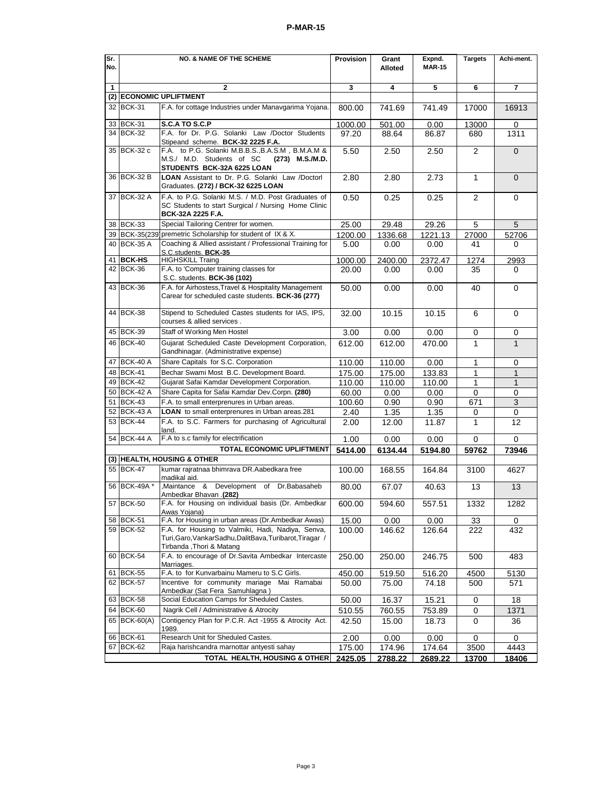| Sr.                                                                                | <b>NO. &amp; NAME OF THE SCHEME</b>                                                                    |                                                                                                                                              | Provision | Grant   | Expnd.        | <b>Targets</b> | Achi-ment.     |
|------------------------------------------------------------------------------------|--------------------------------------------------------------------------------------------------------|----------------------------------------------------------------------------------------------------------------------------------------------|-----------|---------|---------------|----------------|----------------|
| No.                                                                                |                                                                                                        |                                                                                                                                              |           | Alloted | <b>MAR-15</b> |                |                |
| $\mathbf{1}$                                                                       |                                                                                                        | $\mathbf{2}$                                                                                                                                 | 3         | 4       | 5             | 6              | 7              |
|                                                                                    |                                                                                                        | (2) ECONOMIC UPLIFTMENT                                                                                                                      |           |         |               |                |                |
|                                                                                    | 32 BCK-31                                                                                              | F.A. for cottage Industries under Manavgarima Yojana.                                                                                        | 800.00    | 741.69  | 741.49        | 17000          | 16913          |
|                                                                                    | 33 BCK-31                                                                                              | S.C.A TO S.C.P                                                                                                                               | 1000.00   | 501.00  | 0.00          | 13000          | 0              |
|                                                                                    | 34 BCK-32                                                                                              | F.A. for Dr. P.G. Solanki Law /Doctor Students<br>Stipeand scheme. BCK-32 2225 F.A.                                                          | 97.20     | 88.64   | 86.87         | 680            | 1311           |
|                                                                                    | 35 BCK-32 c                                                                                            | F.A. to P.G. Solanki M.B.B.S., B.A.S.M, B.M.A.M &<br>M.S./ M.D. Students of SC<br>(273) M.S./M.D.<br>STUDENTS BCK-32A 6225 LOAN              | 5.50      | 2.50    | 2.50          | $\overline{2}$ | $\overline{0}$ |
|                                                                                    | 36 BCK-32 B                                                                                            | <b>LOAN</b> Assistant to Dr. P.G. Solanki Law /Doctorl<br>Graduates. (272) / BCK-32 6225 LOAN                                                | 2.80      | 2.80    | 2.73          | 1              | $\overline{0}$ |
|                                                                                    | 37 BCK-32 A                                                                                            | F.A. to P.G. Solanki M.S. / M.D. Post Graduates of<br>SC Students to start Surgical / Nursing Home Clinic<br>BCK-32A 2225 F.A.               | 0.50      | 0.25    | 0.25          | 2              | 0              |
|                                                                                    | 38 BCK-33                                                                                              | Special Tailoring Centrer for women.                                                                                                         | 25.00     | 29.48   | 29.26         | 5              | 5              |
| 39                                                                                 |                                                                                                        | BCK-35(239) premetric Scholarship for student of IX & X.                                                                                     | 1200.00   | 1336.68 | 1221.13       | 27000          | 52706          |
|                                                                                    | 40 BCK-35 A                                                                                            | Coaching & Allied assistant / Professional Training for<br>S.C.students. BCK-35                                                              | 5.00      | 0.00    | 0.00          | 41             | 0              |
|                                                                                    | 41 BCK-HS                                                                                              | <b>HIGHSKILL Traing</b>                                                                                                                      | 1000.00   | 2400.00 | 2372.47       | 1274           | 2993           |
|                                                                                    | 42 BCK-36                                                                                              | F.A. to 'Computer training classes for<br>S.C. students. BCK-36 (102)                                                                        | 20.00     | 0.00    | 0.00          | 35             | 0              |
|                                                                                    | 43 BCK-36                                                                                              | F.A. for Airhostess, Travel & Hospitality Management<br>Carear for scheduled caste students. BCK-36 (277)                                    | 50.00     | 0.00    | 0.00          | 40             | 0              |
|                                                                                    | 44 BCK-38                                                                                              | Stipend to Scheduled Castes students for IAS, IPS,<br>courses & allied services.                                                             | 32.00     | 10.15   | 10.15         | 6              | $\Omega$       |
|                                                                                    | 45 BCK-39                                                                                              | Staff of Working Men Hostel                                                                                                                  | 3.00      | 0.00    | 0.00          | 0              | 0              |
|                                                                                    | 46 BCK-40<br>Gujarat Scheduled Caste Development Corporation,<br>Gandhinagar. (Administrative expense) |                                                                                                                                              | 612.00    | 612.00  | 470.00        | 1              | $\mathbf{1}$   |
|                                                                                    | 47 BCK-40 A                                                                                            | Share Capitals for S.C. Corporation                                                                                                          | 110.00    | 110.00  | 0.00          | 1              | 0              |
|                                                                                    | 48 BCK-41                                                                                              | Bechar Swami Most B.C. Development Board.                                                                                                    | 175.00    | 175.00  | 133.83        | 1              | $\mathbf{1}$   |
|                                                                                    | 49 BCK-42                                                                                              | Gujarat Safai Kamdar Development Corporation.                                                                                                | 110.00    | 110.00  | 110.00        | 1              | $\mathbf{1}$   |
|                                                                                    | 50 BCK-42 A                                                                                            | Share Capita for Safai Kamdar Dev.Corpn. (280)                                                                                               | 60.00     | 0.00    | 0.00          | 0              | 0              |
|                                                                                    | 51 BCK-43                                                                                              | F.A. to small enterprenures in Urban areas.                                                                                                  | 100.60    | 0.90    | 0.90          | 671            | 3              |
|                                                                                    | 52 BCK-43 A                                                                                            | LOAN to small enterprenures in Urban areas.281                                                                                               | 2.40      | 1.35    | 1.35          | 0              | 0              |
|                                                                                    | 53 BCK-44                                                                                              | F.A. to S.C. Farmers for purchasing of Agricultural<br>land.                                                                                 | 2.00      | 12.00   | 11.87         | 1              | 12             |
|                                                                                    | 54 BCK-44 A                                                                                            | F.A to s.c family for electrification                                                                                                        | 1.00      | 0.00    | 0.00          | 0              | 0              |
|                                                                                    |                                                                                                        | TOTAL ECONOMIC UPLIFTMENT                                                                                                                    | 5414.00   | 6134.44 | 5194.80       | 59762          | 73946          |
|                                                                                    | 55 BCK-47                                                                                              | (3) HEALTH, HOUSING & OTHER<br>kumar rajratnaa bhimrava DR.Aabedkara free                                                                    | 100.00    | 168.55  | 164.84        | 3100           | 4627           |
|                                                                                    | 56 BCK-49A *                                                                                           | madikal aid.<br>Maintance & Development of Dr. Babasaheb                                                                                     | 80.00     | 67.07   | 40.63         | 13             | 13             |
|                                                                                    | 57 BCK-50                                                                                              | Ambedkar Bhavan .(282)<br>F.A. for Housing on individual basis (Dr. Ambedkar<br>Awas Yoiana)                                                 | 600.00    | 594.60  | 557.51        | 1332           | 1282           |
|                                                                                    | 58 BCK-51                                                                                              | F.A. for Housing in urban areas (Dr.Ambedkar Awas)                                                                                           | 15.00     | 0.00    | 0.00          | 33             | 0              |
|                                                                                    | 59 BCK-52                                                                                              | F.A. for Housing to Valmiki, Hadi, Nadiya, Senva,<br>Turi, Garo, Vankar Sadhu, Dalit Bava, Turibarot, Tiragar /<br>Tirbanda , Thori & Matang | 100.00    | 146.62  | 126.64        | 222            | 432            |
|                                                                                    | 60 BCK-54                                                                                              | F.A. to encourage of Dr.Savita Ambedkar Intercaste<br>Marriages.                                                                             | 250.00    | 250.00  | 246.75        | 500            | 483            |
|                                                                                    | 61 BCK-55                                                                                              | F.A. to for Kunvarbainu Mameru to S.C Girls.                                                                                                 | 450.00    | 519.50  | 516.20        | 4500           | 5130           |
|                                                                                    | 62 BCK-57                                                                                              | Incentive for community mariage Mai Ramabai<br>Ambedkar (Sat Fera Samuhlagna)                                                                | 50.00     | 75.00   | 74.18         | 500            | 571            |
|                                                                                    | 63 BCK-58                                                                                              | Social Education Camps for Sheduled Castes.                                                                                                  | 50.00     | 16.37   | 15.21         | 0              | 18             |
|                                                                                    | 64 BCK-60                                                                                              | Nagrik Cell / Administrative & Atrocity                                                                                                      | 510.55    | 760.55  | 753.89        | 0              | 1371           |
|                                                                                    | 65 BCK-60(A)                                                                                           | Contigency Plan for P.C.R. Act -1955 & Atrocity Act.<br>1989.                                                                                | 42.50     | 15.00   | 18.73         | 0              | 36             |
|                                                                                    | 66 BCK-61                                                                                              | Research Unit for Sheduled Castes.                                                                                                           | 2.00      | 0.00    | 0.00          | 0              | 0              |
|                                                                                    | 67 BCK-62                                                                                              | Raja harishcandra marnottar antyesti sahay                                                                                                   | 175.00    | 174.96  | 174.64        | 3500           | 4443           |
| <b>TOTAL HEALTH, HOUSING &amp; OTHER</b><br>2425.05<br>2788.22<br>2689.22<br>13700 |                                                                                                        |                                                                                                                                              |           |         |               |                | 18406          |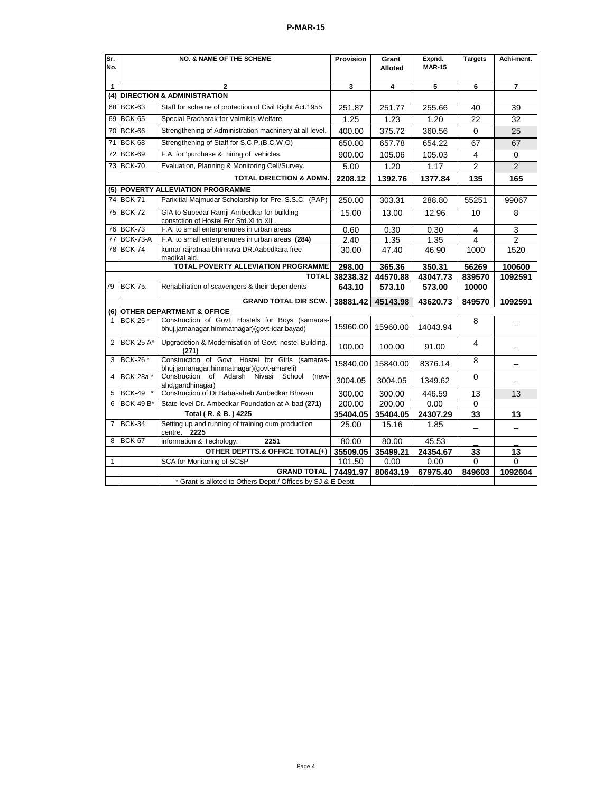| Sr.<br>No.                                                    | <b>NO. &amp; NAME OF THE SCHEME</b> |                                                                                                  | Provision | Grant<br>Alloted | Expnd.<br><b>MAR-15</b> | <b>Targets</b>           | Achi-ment.               |  |
|---------------------------------------------------------------|-------------------------------------|--------------------------------------------------------------------------------------------------|-----------|------------------|-------------------------|--------------------------|--------------------------|--|
| $\mathbf{1}$                                                  |                                     | $\mathbf{2}$                                                                                     | 3         | 4                | 5                       | 6                        | $\overline{7}$           |  |
| (4)                                                           |                                     | <b>DIRECTION &amp; ADMINISTRATION</b>                                                            |           |                  |                         |                          |                          |  |
| 68                                                            | <b>BCK-63</b>                       | Staff for scheme of protection of Civil Right Act.1955                                           | 251.87    | 251.77           | 255.66                  | 40                       | 39                       |  |
| 69                                                            | <b>BCK-65</b>                       | Special Pracharak for Valmikis Welfare.                                                          | 1.25      | 1.23             | 1.20                    | 22                       | 32                       |  |
| 70                                                            | <b>BCK-66</b>                       | Strengthening of Administration machinery at all level.                                          | 400.00    | 375.72           | 360.56                  | 0                        | 25                       |  |
| 71                                                            | <b>BCK-68</b>                       | Strengthening of Staff for S.C.P. (B.C.W.O)                                                      | 650.00    | 657.78           | 654.22                  | 67                       | 67                       |  |
| 72                                                            | <b>BCK-69</b>                       | F.A. for 'purchase & hiring of vehicles.                                                         | 900.00    | 105.06           | 105.03                  | 4                        | $\mathbf 0$              |  |
|                                                               | 73 BCK-70                           | Evaluation, Planning & Monitoring Cell/Survey.                                                   | 5.00      | 1.20             | 1.17                    | $\overline{2}$           | $\overline{2}$           |  |
|                                                               |                                     | <b>TOTAL DIRECTION &amp; ADMN.</b>                                                               | 2208.12   | 1392.76          | 1377.84                 | 135                      | 165                      |  |
| (5)                                                           |                                     | <b>POVERTY ALLEVIATION PROGRAMME</b>                                                             |           |                  |                         |                          |                          |  |
|                                                               | 74 BCK-71                           | Parixitlal Majmudar Scholarship for Pre. S.S.C. (PAP)                                            | 250.00    | 303.31           | 288.80                  | 55251                    | 99067                    |  |
|                                                               | 75 BCK-72                           | GIA to Subedar Ramji Ambedkar for building<br>constction of Hostel For Std.XI to XII             | 15.00     | 13.00            | 12.96                   | 10                       | 8                        |  |
| 76                                                            | <b>BCK-73</b>                       | F.A. to small enterprenures in urban areas                                                       | 0.60      | 0.30             | 0.30                    | 4                        | 3                        |  |
| 77                                                            | <b>BCK-73-A</b>                     | F.A. to small enterprenures in urban areas (284)                                                 | 2.40      | 1.35             | 1.35                    | 4                        | 2                        |  |
|                                                               | 78 BCK-74                           | kumar rajratnaa bhimrava DR.Aabedkara free<br>madikal aid.                                       | 30.00     | 47.40            | 46.90                   | 1000                     | 1520                     |  |
| TOTAL POVERTY ALLEVIATION PROGRAMME                           |                                     | 298.00                                                                                           | 365.36    | 350.31           | 56269                   | 100600                   |                          |  |
|                                                               | <b>TOTAL</b>                        |                                                                                                  |           | 44570.88         | 43047.73                | 839570                   | 1092591                  |  |
| 79                                                            | <b>BCK-75.</b>                      | Rehabiliation of scavengers & their dependents                                                   | 643.10    | 573.10           | 573.00                  | 10000                    |                          |  |
|                                                               | <b>GRAND TOTAL DIR SCW.</b>         |                                                                                                  | 38881.42  | 45143.98         | 43620.73                | 849570                   | 1092591                  |  |
| (6)                                                           |                                     | <b>OTHER DEPARTMENT &amp; OFFICE</b>                                                             |           |                  |                         |                          |                          |  |
| $\mathbf{1}$                                                  | BCK-25 *                            | Construction of Govt. Hostels for Boys (samaras-<br>bhuj,jamanagar,himmatnagar)(govt-idar,bayad) | 15960.00  | 15960.00         | 14043.94                | 8                        |                          |  |
| 2                                                             | <b>BCK-25 A*</b>                    | Upgradetion & Modernisation of Govt. hostel Building.<br>(271)                                   | 100.00    | 100.00           | 91.00                   | 4                        | $\overline{\phantom{0}}$ |  |
| 3                                                             | BCK-26 *                            | Construction of Govt. Hostel for Girls (samaras-<br>bhuj,jamanagar,himmatnagar)(govt-amareli)    | 15840.00  | 15840.00         | 8376.14                 | 8                        | $\overline{\phantom{0}}$ |  |
| 4                                                             | BCK-28a *                           | of<br>Adarsh<br>Construction<br>Nivasi<br>School<br>(new-<br>ahd,gandhinagar)                    | 3004.05   | 3004.05          | 1349.62                 | 0                        | $\overline{\phantom{0}}$ |  |
| 5                                                             | <b>BCK-49</b>                       | Construction of Dr. Babasaheb Ambedkar Bhavan                                                    | 300.00    | 300.00           | 446.59                  | 13                       | 13                       |  |
| 6                                                             | <b>BCK-49 B*</b>                    | State level Dr. Ambedkar Foundation at A-bad (271)                                               | 200.00    | 200.00           | 0.00                    | 0                        |                          |  |
|                                                               |                                     | Total (R. & B.) 4225                                                                             | 35404.05  | 35404.05         | 24307.29                | 33                       | 13                       |  |
| $\overline{7}$                                                | <b>BCK-34</b>                       | Setting up and running of training cum production<br>centre. 2225                                | 25.00     | 15.16            | 1.85                    | $\overline{\phantom{0}}$ |                          |  |
| 8                                                             | <b>BCK-67</b>                       | information & Techology.<br>2251                                                                 | 80.00     | 80.00            | 45.53                   |                          |                          |  |
|                                                               |                                     | OTHER DEPTTS.& OFFICE TOTAL(+)                                                                   | 35509.05  | 35499.21         | 24354.67                | 33                       | 13                       |  |
| $\mathbf{1}$                                                  |                                     | SCA for Monitoring of SCSP                                                                       | 101.50    | 0.00             | 0.00                    | 0                        | $\overline{0}$           |  |
|                                                               |                                     | <b>GRAND TOTAL</b>                                                                               | 74491.97  | 80643.19         | 67975.40                | 849603                   | 1092604                  |  |
| * Grant is alloted to Others Deptt / Offices by SJ & E Deptt. |                                     |                                                                                                  |           |                  |                         |                          |                          |  |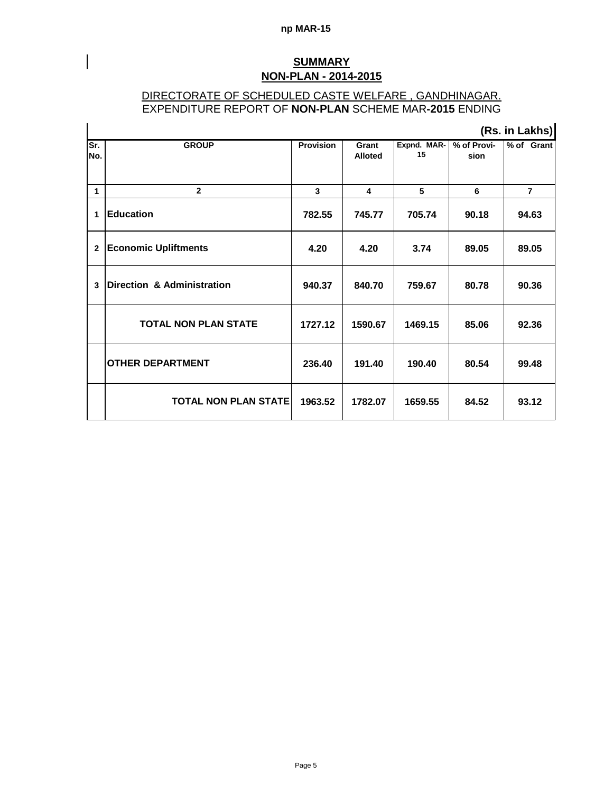#### **np MAR-15**

I

### **SUMMARY NON-PLAN - 2014-2015**

### DIRECTORATE OF SCHEDULED CASTE WELFARE , GANDHINAGAR. EXPENDITURE REPORT OF **NON-PLAN** SCHEME MAR**-2015** ENDING

|              |                             |                  |                         |                   |                     | (Rs. in Lakhs) |
|--------------|-----------------------------|------------------|-------------------------|-------------------|---------------------|----------------|
| Sr.<br>No.   | <b>GROUP</b>                | <b>Provision</b> | Grant<br><b>Alloted</b> | Expnd. MAR-<br>15 | % of Provi-<br>sion | % of Grant     |
| $\mathbf 1$  | $\mathbf{2}$                | $\mathbf{3}$     | 4                       | 5                 | 6                   | $\overline{7}$ |
| 1            | <b>Education</b>            | 782.55           | 745.77                  | 705.74            | 90.18               | 94.63          |
| $\mathbf{2}$ | <b>Economic Upliftments</b> | 4.20             | 4.20                    | 3.74              | 89.05               | 89.05          |
| 3            | Direction & Administration  | 940.37           | 840.70                  | 759.67            | 80.78               | 90.36          |
|              | <b>TOTAL NON PLAN STATE</b> | 1727.12          | 1590.67                 | 1469.15           | 85.06               | 92.36          |
|              | <b>OTHER DEPARTMENT</b>     | 236.40           | 191.40                  | 190.40            | 80.54               | 99.48          |
|              | <b>TOTAL NON PLAN STATE</b> | 1963.52          | 1782.07                 | 1659.55           | 84.52               | 93.12          |

Page 5